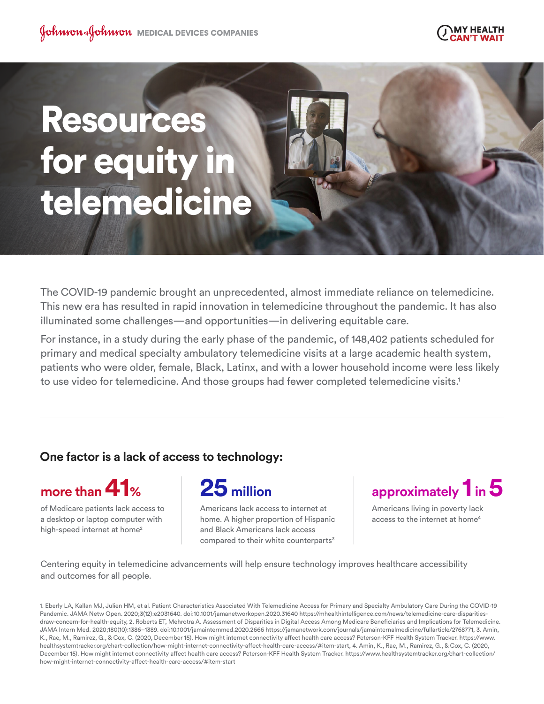

# Resources for equity in telemedicine

The COVID-19 pandemic brought an unprecedented, almost immediate reliance on telemedicine. This new era has resulted in rapid innovation in telemedicine throughout the pandemic. It has also illuminated some challenges—and opportunities—in delivering equitable care.

For instance, in a study during the early phase of the pandemic, of 148,402 patients scheduled for primary and medical specialty ambulatory telemedicine visits at a large academic health system, patients who were older, female, Black, Latinx, and with a lower household income were less likely to use video for telemedicine. And those groups had fewer completed telemedicine visits.<sup>1</sup>

# **One factor is a lack of access to technology:**



of Medicare patients lack access to a desktop or laptop computer with high-speed internet at home<sup>2</sup>



Americans lack access to internet at home. A higher proportion of Hispanic and Black Americans lack access compared to their white counterparts<sup>3</sup>

**approximately 1 in 5**

Americans living in poverty lack access to the internet at home<sup>4</sup>

Centering equity in telemedicine advancements will help ensure technology improves healthcare accessibility and outcomes for all people.

1. Eberly LA, Kallan MJ, Julien HM, et al. Patient Characteristics Associated With Telemedicine Access for Primary and Specialty Ambulatory Care During the COVID-19 Pandemic. JAMA Netw Open. 2020;3(12):e2031640. doi:10.1001/jamanetworkopen.2020.31640 https://mhealthintelligence.com/news/telemedicine-care-disparitiesdraw-concern-for-health-equity, 2. Roberts ET, Mehrotra A. Assessment of Disparities in Digital Access Among Medicare Beneficiaries and Implications for Telemedicine. JAMA Intern Med. 2020;180(10):1386–1389. doi:10.1001/jamainternmed.2020.2666 https://jamanetwork.com/journals/jamainternalmedicine/fullarticle/2768771, 3. Amin, K., Rae, M., Ramirez, G., & Cox, C. (2020, December 15). How might internet connectivity affect health care access? Peterson-KFF Health System Tracker. https://www. healthsystemtracker.org/chart-collection/how-might-internet-connectivity-affect-health-care-access/#item-start, 4. Amin, K., Rae, M., Ramirez, G., & Cox, C. (2020, December 15). How might internet connectivity affect health care access? Peterson-KFF Health System Tracker. https://www.healthsystemtracker.org/chart-collection/ how-might-internet-connectivity-affect-health-care-access/#item-start